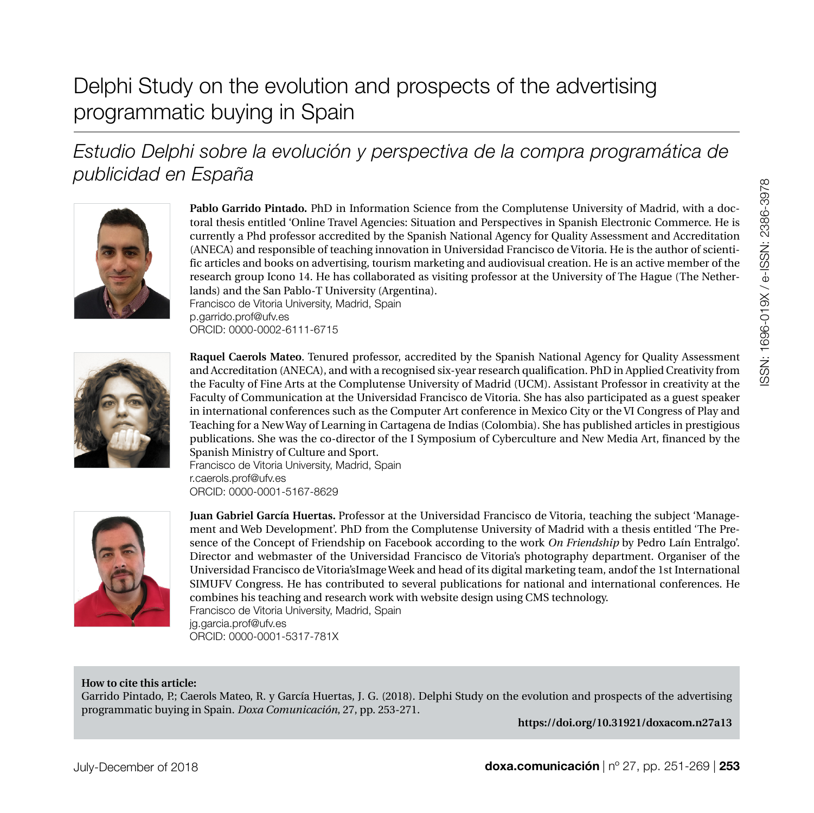# SSN: 1696-019X / e-ISSN: 2386-3978 ISSN: 1696-019X / e-ISSN: 2386-3978

# Delphi Study on the evolution and prospects of the advertising programmatic buying in Spain

## *Estudio Delphi sobre la evolución y perspectiva de la compra programática de publicidad en España*



**Pablo Garrido Pintado.** PhD in Information Science from the Complutense University of Madrid, with a doctoral thesis entitled 'Online Travel Agencies: Situation and Perspectives in Spanish Electronic Commerce. He is currently a Phd professor accredited by the Spanish National Agency for Quality Assessment and Accreditation (ANECA) and responsible of teaching innovation in Universidad Francisco de Vitoria. He is the author of scientific articles and books on advertising, tourism marketing and audiovisual creation. He is an active member of the research group Icono 14. He has collaborated as visiting professor at the University of The Hague (The Netherlands) and the San Pablo-T University (Argentina). [Francisco de Vitoria University, Madrid, Spain](https://www.ufv.es/)

[p.garrido.prof@ufv.es](mailto:p.garrido.prof%40ufv.es%20?subject=) [ORCID: 0000-0002-6111-6715](https://orcid.org/0000-0002-6111-6715)



**Raquel Caerols Mateo**. Tenured professor, accredited by the Spanish National Agency for Quality Assessment and Accreditation (ANECA), and with a recognised six-year research qualification. PhD in Applied Creativity from the Faculty of Fine Arts at the Complutense University of Madrid (UCM). Assistant Professor in creativity at the Faculty of Communication at the Universidad Francisco de Vitoria. She has also participated as a guest speaker in international conferences such as the Computer Art conference in Mexico City or the VI Congress of Play and Teaching for a New Way of Learning in Cartagena de Indias (Colombia). She has published articles in prestigious publications. She was the co-director of the I Symposium of Cyberculture and New Media Art, financed by the Spanish Ministry of Culture and Sport.

[Francisco de Vitoria University, Madrid, Spain](https://www.ufv.es/) [r.caerols.prof@ufv.es](mailto:r.caerols.prof%40ufv.es%20?subject=) [ORCID: 0000-0001-5167-8629](https://orcid.org/0000-0001-5167-8629)



**Juan Gabriel García Huertas.** Professor at the Universidad Francisco de Vitoria, teaching the subject 'Management and Web Development'. PhD from the Complutense University of Madrid with a thesis entitled 'The Presence of the Concept of Friendship on Facebook according to the work *On Friendship* by Pedro Laín Entralgo'. Director and webmaster of the Universidad Francisco de Vitoria's photography department. Organiser of the Universidad Francisco de Vitoria'sImage Week and head of its digital marketing team, andof the 1st International SIMUFV Congress. He has contributed to several publications for national and international conferences. He combines his teaching and research work with website design using CMS technology. [Francisco de Vitoria University, Madrid, Spain](https://www.ufv.es/) [jg.garcia.prof@ufv.es](mailto:jg.garcia.prof%40ufv.es%20?subject=) [ORCID: 0000-0001-5317-781X](https://orcid.org/0000-0001-5317-781X)

#### **How to cite this article:**

Garrido Pintado, P.; Caerols Mateo, R. y García Huertas, J. G. (2018). Delphi Study on the evolution and prospects of the advertising programmatic buying in Spain. *Doxa Comunicación*, 27, pp. 253-271.

**[https://doi.org/10.31921/doxacom.n27a13](https://doi.org/10.31921/doxacom.n27a13
)**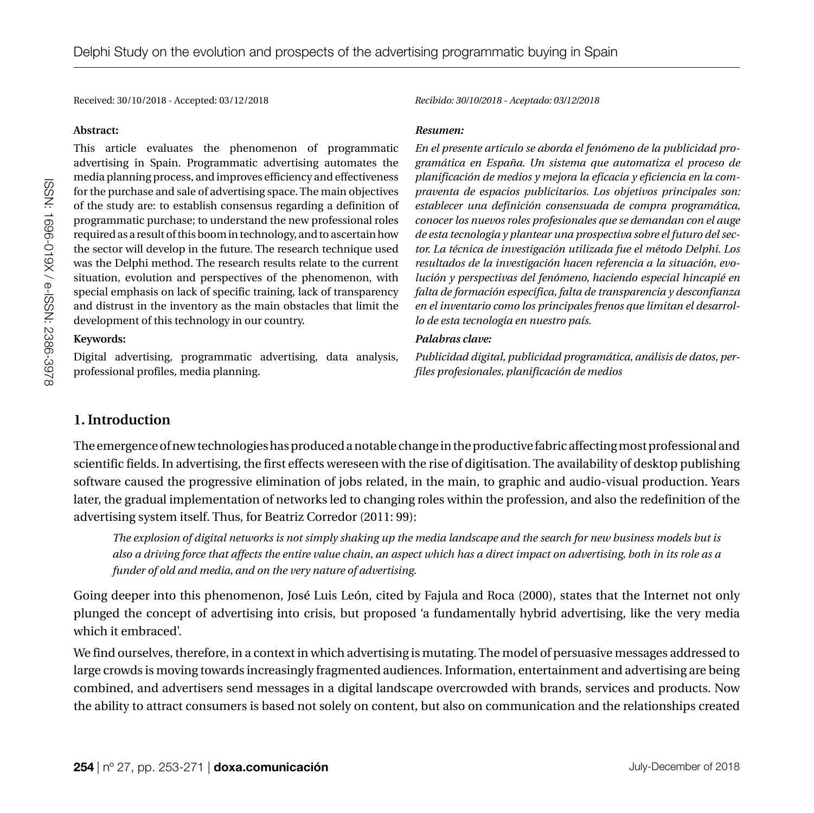Received: 30/10/2018 - Accepted: 03/12/2018 *Recibido: 30/10/2018 - Aceptado: 03/12/2018*

#### **Abstract:**

This article evaluates the phenomenon of programmatic advertising in Spain. Programmatic advertising automates the media planning process, and improves efficiency and effectiveness for the purchase and sale of advertising space. The main objectives of the study are: to establish consensus regarding a definition of programmatic purchase; to understand the new professional roles required as a result of this boom in technology, and to ascertain how the sector will develop in the future. The research technique used was the Delphi method. The research results relate to the current situation, evolution and perspectives of the phenomenon, with special emphasis on lack of specific training, lack of transparency and distrust in the inventory as the main obstacles that limit the development of this technology in our country.

#### **Keywords:**

Digital advertising, programmatic advertising, data analysis, professional profiles, media planning.

#### *Resumen:*

*En el presente artículo se aborda el fenómeno de la publicidad programática en España. Un sistema que automatiza el proceso de planificación de medios y mejora la eficacia y eficiencia en la compraventa de espacios publicitarios. Los objetivos principales son: establecer una definición consensuada de compra programática, conocer los nuevos roles profesionales que se demandan con el auge de esta tecnología y plantear una prospectiva sobre el futuro del sector. La técnica de investigación utilizada fue el método Delphi. Los resultados de la investigación hacen referencia a la situación, evolución y perspectivas del fenómeno, haciendo especial hincapié en falta de formación específica, falta de transparencia y desconfianza en el inventario como los principales frenos que limitan el desarrollo de esta tecnología en nuestro país.*

#### *Palabras clave:*

*Publicidad digital, publicidad programática, análisis de datos, perfiles profesionales, planificación de medios*

## **1. Introduction**

The emergence of new technologies has produced a notable change in the productive fabric affecting most professional and scientific fields. In advertising, the first effects wereseen with the rise of digitisation. The availability of desktop publishing software caused the progressive elimination of jobs related, in the main, to graphic and audio-visual production. Years later, the gradual implementation of networks led to changing roles within the profession, and also the redefinition of the advertising system itself. Thus, for Beatriz Corredor (2011: 99):

*The explosion of digital networks is not simply shaking up the media landscape and the search for new business models but is also a driving force that affects the entire value chain, an aspect which has a direct impact on advertising, both in its role as a funder of old and media, and on the very nature of advertising.*

Going deeper into this phenomenon, José Luis León, cited by Fajula and Roca (2000), states that the Internet not only plunged the concept of advertising into crisis, but proposed 'a fundamentally hybrid advertising, like the very media which it embraced'.

We find ourselves, therefore, in a context in which advertising is mutating. The model of persuasive messages addressed to large crowds is moving towards increasingly fragmented audiences. Information, entertainment and advertising are being combined, and advertisers send messages in a digital landscape overcrowded with brands, services and products. Now the ability to attract consumers is based not solely on content, but also on communication and the relationships created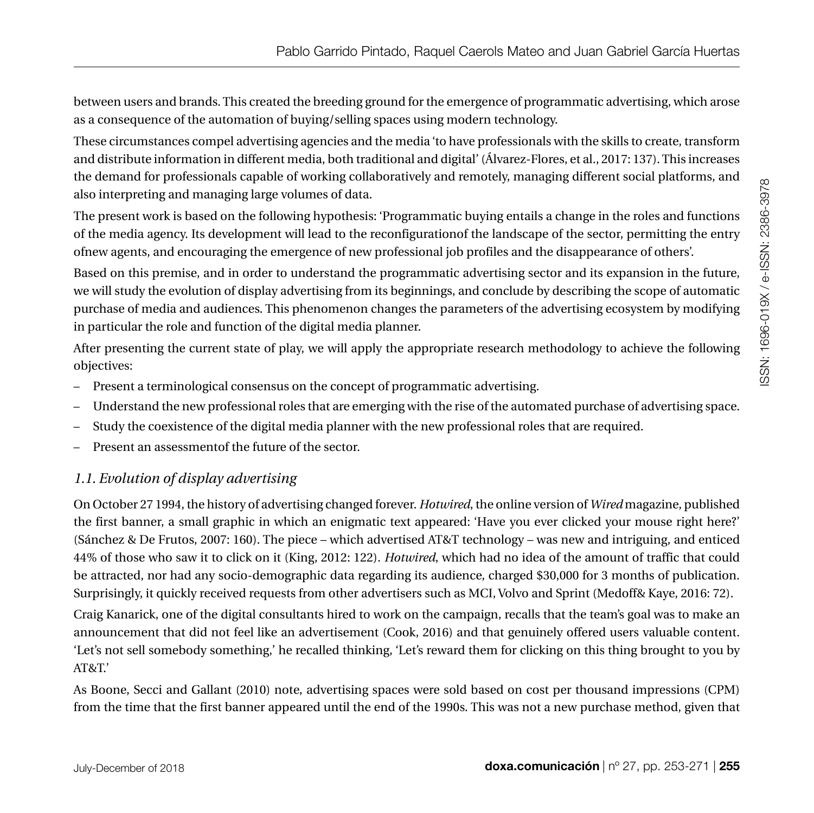between users and brands. This created the breeding ground for the emergence of programmatic advertising, which arose as a consequence of the automation of buying/selling spaces using modern technology.

These circumstances compel advertising agencies and the media 'to have professionals with the skills to create, transform and distribute information in different media, both traditional and digital' (Álvarez-Flores, et al., 2017: 137). This increases the demand for professionals capable of working collaboratively and remotely, managing different social platforms, and also interpreting and managing large volumes of data.

The present work is based on the following hypothesis: 'Programmatic buying entails a change in the roles and functions of the media agency. Its development will lead to the reconfigurationof the landscape of the sector, permitting the entry ofnew agents, and encouraging the emergence of new professional job profiles and the disappearance of others'.

Based on this premise, and in order to understand the programmatic advertising sector and its expansion in the future, we will study the evolution of display advertising from its beginnings, and conclude by describing the scope of automatic purchase of media and audiences. This phenomenon changes the parameters of the advertising ecosystem by modifying in particular the role and function of the digital media planner.

After presenting the current state of play, we will apply the appropriate research methodology to achieve the following objectives:

- Present a terminological consensus on the concept of programmatic advertising.
- Understand the new professional roles that are emerging with the rise of the automated purchase of advertising space.
- Study the coexistence of the digital media planner with the new professional roles that are required.
- Present an assessmentof the future of the sector.

## *1.1. Evolution of display advertising*

On October 27 1994, the history of advertising changed forever. *Hotwired*, the online version of *Wired* magazine, published the first banner, a small graphic in which an enigmatic text appeared: 'Have you ever clicked your mouse right here?' (Sánchez & De Frutos, 2007: 160). The piece – which advertised AT&T technology – was new and intriguing, and enticed 44% of those who saw it to click on it (King, 2012: 122). *Hotwired*, which had no idea of the amount of traffic that could be attracted, nor had any socio-demographic data regarding its audience, charged \$30,000 for 3 months of publication. Surprisingly, it quickly received requests from other advertisers such as MCI, Volvo and Sprint (Medoff& Kaye, 2016: 72).

Craig Kanarick, one of the digital consultants hired to work on the campaign, recalls that the team's goal was to make an announcement that did not feel like an advertisement (Cook, 2016) and that genuinely offered users valuable content. 'Let's not sell somebody something,' he recalled thinking, 'Let's reward them for clicking on this thing brought to you by AT&T.'

As Boone, Secci and Gallant (2010) note, advertising spaces were sold based on cost per thousand impressions (CPM) from the time that the first banner appeared until the end of the 1990s. This was not a new purchase method, given that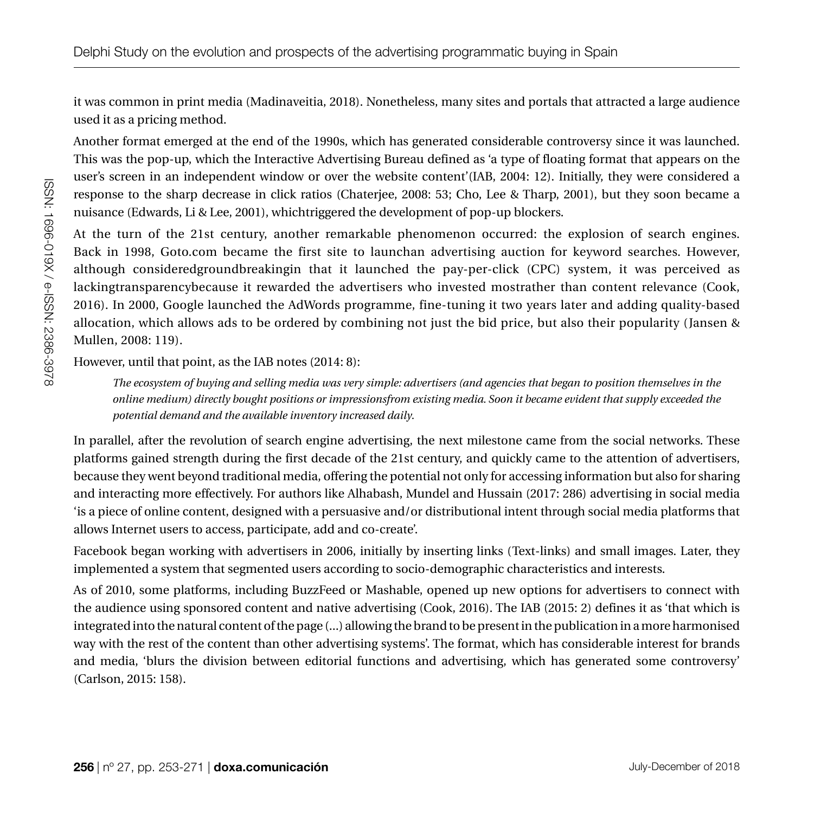it was common in print media (Madinaveitia, 2018). Nonetheless, many sites and portals that attracted a large audience used it as a pricing method.

Another format emerged at the end of the 1990s, which has generated considerable controversy since it was launched. This was the pop-up, which the Interactive Advertising Bureau defined as 'a type of floating format that appears on the user's screen in an independent window or over the website content'(IAB, 2004: 12). Initially, they were considered a response to the sharp decrease in click ratios (Chaterjee, 2008: 53; Cho, Lee & Tharp, 2001), but they soon became a nuisance (Edwards, Li & Lee, 2001), whichtriggered the development of pop-up blockers.

At the turn of the 21st century, another remarkable phenomenon occurred: the explosion of search engines. Back in 1998, Goto.com became the first site to launchan advertising auction for keyword searches. However, although consideredgroundbreakingin that it launched the pay-per-click (CPC) system, it was perceived as lackingtransparencybecause it rewarded the advertisers who invested mostrather than content relevance (Cook, 2016). In 2000, Google launched the AdWords programme, fine-tuning it two years later and adding quality-based allocation, which allows ads to be ordered by combining not just the bid price, but also their popularity (Jansen & Mullen, 2008: 119).

However, until that point, as the IAB notes (2014: 8):

*The ecosystem of buying and selling media was very simple: advertisers (and agencies that began to position themselves in the online medium) directly bought positions or impressionsfrom existing media. Soon it became evident that supply exceeded the potential demand and the available inventory increased daily*.

In parallel, after the revolution of search engine advertising, the next milestone came from the social networks. These platforms gained strength during the first decade of the 21st century, and quickly came to the attention of advertisers, because they went beyond traditional media, offering the potential not only for accessing information but also for sharing and interacting more effectively. For authors like Alhabash, Mundel and Hussain (2017: 286) advertising in social media 'is a piece of online content, designed with a persuasive and/or distributional intent through social media platforms that allows Internet users to access, participate, add and co-create'.

Facebook began working with advertisers in 2006, initially by inserting links (Text-links) and small images. Later, they implemented a system that segmented users according to socio-demographic characteristics and interests.

As of 2010, some platforms, including BuzzFeed or Mashable, opened up new options for advertisers to connect with the audience using sponsored content and native advertising (Cook, 2016). The IAB (2015: 2) defines it as 'that which is integrated into the natural content of the page (...) allowing the brand to be present in the publication in a more harmonised way with the rest of the content than other advertising systems'. The format, which has considerable interest for brands and media, 'blurs the division between editorial functions and advertising, which has generated some controversy' (Carlson, 2015: 158).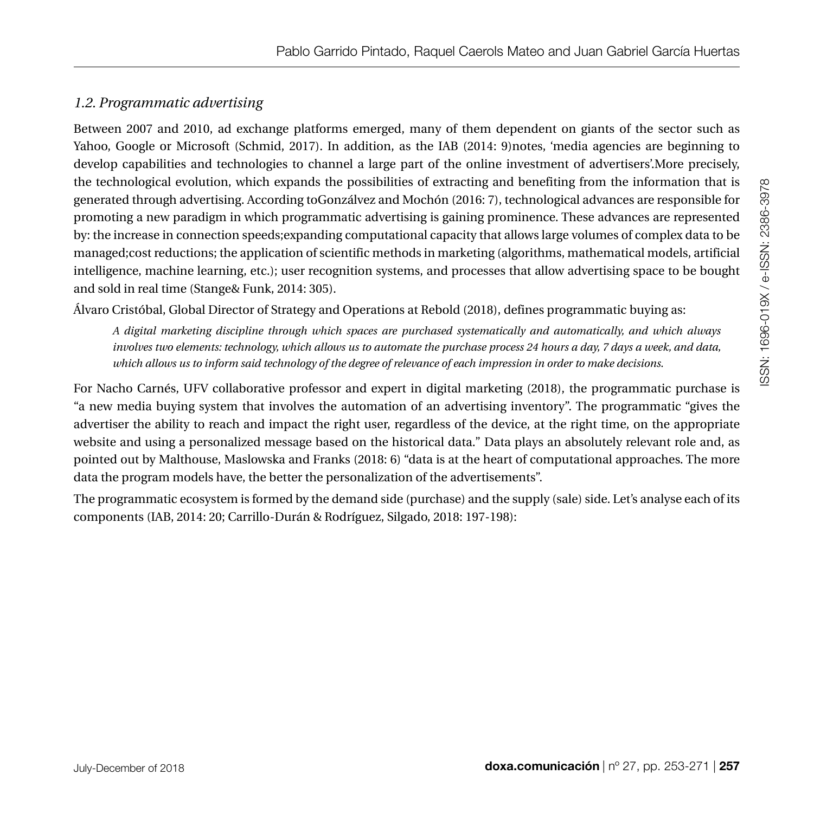## *1.2. Programmatic advertising*

Between 2007 and 2010, ad exchange platforms emerged, many of them dependent on giants of the sector such as Yahoo, Google or Microsoft (Schmid, 2017). In addition, as the IAB (2014: 9)notes, 'media agencies are beginning to develop capabilities and technologies to channel a large part of the online investment of advertisers'.More precisely, the technological evolution, which expands the possibilities of extracting and benefiting from the information that is generated through advertising. According toGonzálvez and Mochón (2016: 7), technological advances are responsible for promoting a new paradigm in which programmatic advertising is gaining prominence. These advances are represented by: the increase in connection speeds;expanding computational capacity that allows large volumes of complex data to be managed;cost reductions; the application of scientific methods in marketing (algorithms, mathematical models, artificial intelligence, machine learning, etc.); user recognition systems, and processes that allow advertising space to be bought and sold in real time (Stange& Funk, 2014: 305).

Álvaro Cristóbal, Global Director of Strategy and Operations at Rebold (2018), defines programmatic buying as:

*A digital marketing discipline through which spaces are purchased systematically and automatically, and which always involves two elements: technology, which allows us to automate the purchase process 24 hours a day, 7 days a week, and data, which allows us to inform said technology of the degree of relevance of each impression in order to make decisions*.

For Nacho Carnés, UFV collaborative professor and expert in digital marketing (2018), the programmatic purchase is "a new media buying system that involves the automation of an advertising inventory". The programmatic "gives the advertiser the ability to reach and impact the right user, regardless of the device, at the right time, on the appropriate website and using a personalized message based on the historical data." Data plays an absolutely relevant role and, as pointed out by Malthouse, Maslowska and Franks (2018: 6) "data is at the heart of computational approaches. The more data the program models have, the better the personalization of the advertisements".

The programmatic ecosystem is formed by the demand side (purchase) and the supply (sale) side. Let's analyse each of its components (IAB, 2014: 20; Carrillo-Durán & Rodríguez, Silgado, 2018: 197-198):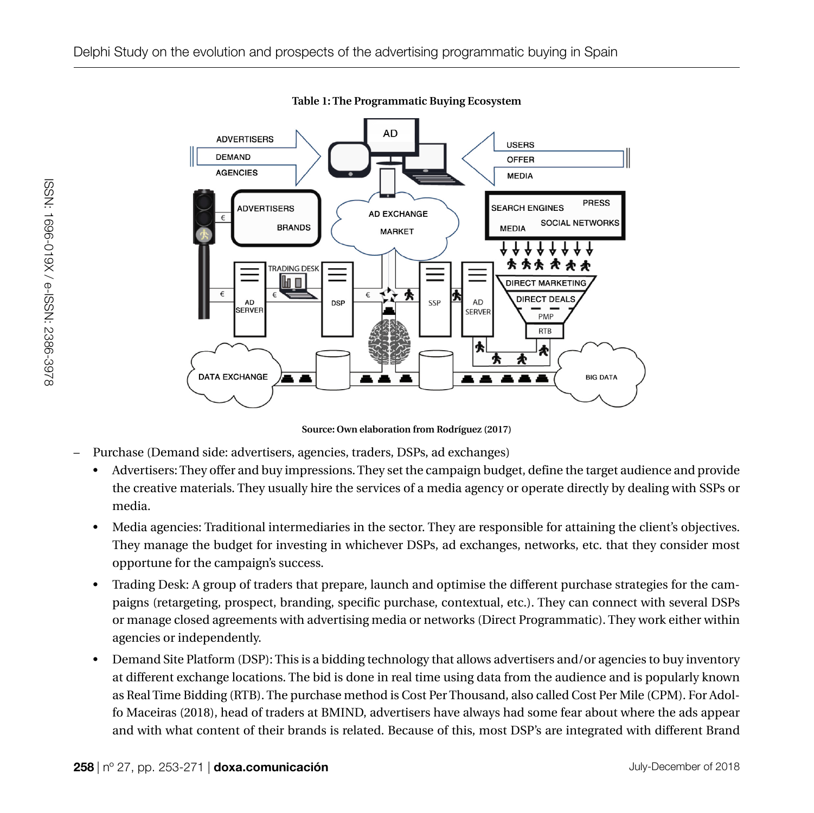

**Table 1: The Programmatic Buying Ecosystem** 

**Source: Own elaboration from Rodríguez (2017)**

- Purchase (Demand side: advertisers, agencies, traders, DSPs, ad exchanges)
	- Advertisers: They offer and buy impressions. They set the campaign budget, define the target audience and provide the creative materials. They usually hire the services of a media agency or operate directly by dealing with SSPs or media.
	- Media agencies: Traditional intermediaries in the sector. They are responsible for attaining the client's objectives. They manage the budget for investing in whichever DSPs, ad exchanges, networks, etc. that they consider most opportune for the campaign's success.
	- Trading Desk: A group of traders that prepare, launch and optimise the different purchase strategies for the campaigns (retargeting, prospect, branding, specific purchase, contextual, etc.). They can connect with several DSPs or manage closed agreements with advertising media or networks (Direct Programmatic). They work either within agencies or independently.
	- Demand Site Platform (DSP): This is a bidding technology that allows advertisers and/or agencies to buy inventory at different exchange locations. The bid is done in real time using data from the audience and is popularly known as Real Time Bidding (RTB). The purchase method is Cost Per Thousand, also called Cost Per Mile (CPM). For Adolfo Maceiras (2018), head of traders at BMIND, advertisers have always had some fear about where the ads appear and with what content of their brands is related. Because of this, most DSP's are integrated with different Brand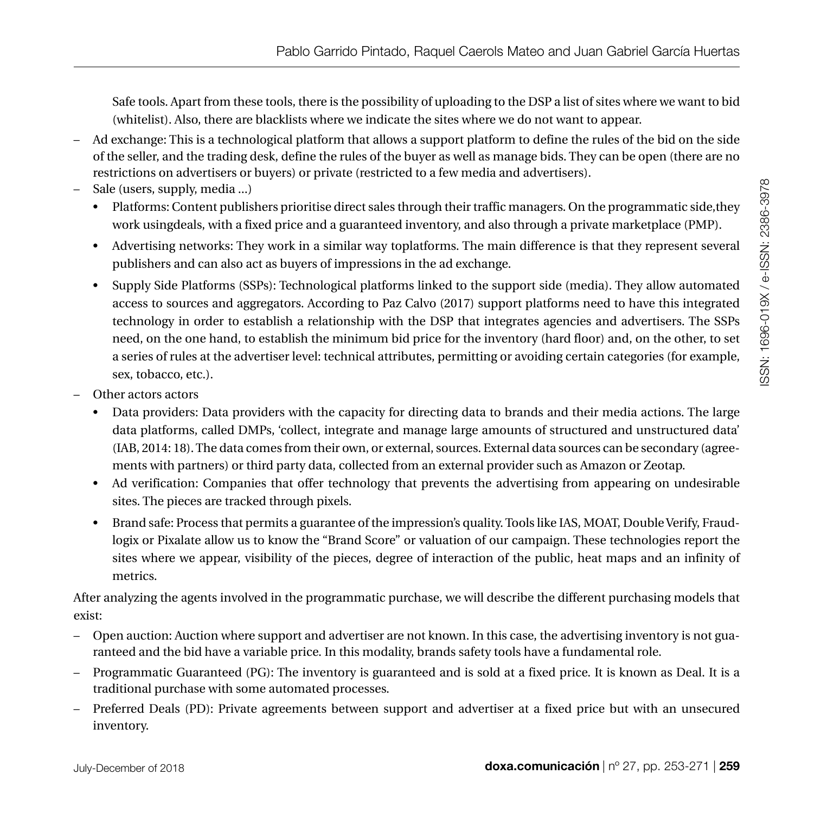Safe tools. Apart from these tools, there is the possibility of uploading to the DSP a list of sites where we want to bid (whitelist). Also, there are blacklists where we indicate the sites where we do not want to appear.

- Ad exchange: This is a technological platform that allows a support platform to define the rules of the bid on the side of the seller, and the trading desk, define the rules of the buyer as well as manage bids. They can be open (there are no restrictions on advertisers or buyers) or private (restricted to a few media and advertisers).
- Sale (users, supply, media ...)
	- Platforms: Content publishers prioritise direct sales through their traffic managers. On the programmatic side, they work usingdeals, with a fixed price and a guaranteed inventory, and also through a private marketplace (PMP).
	- Advertising networks: They work in a similar way toplatforms. The main difference is that they represent several publishers and can also act as buyers of impressions in the ad exchange.
	- Supply Side Platforms (SSPs): Technological platforms linked to the support side (media). They allow automated access to sources and aggregators. According to Paz Calvo (2017) support platforms need to have this integrated technology in order to establish a relationship with the DSP that integrates agencies and advertisers. The SSPs need, on the one hand, to establish the minimum bid price for the inventory (hard floor) and, on the other, to set a series of rules at the advertiser level: technical attributes, permitting or avoiding certain categories (for example, sex, tobacco, etc.).
- Other actors actors
	- Data providers: Data providers with the capacity for directing data to brands and their media actions. The large data platforms, called DMPs, 'collect, integrate and manage large amounts of structured and unstructured data' (IAB, 2014: 18). The data comes from their own, or external, sources. External data sources can be secondary (agreements with partners) or third party data, collected from an external provider such as Amazon or Zeotap.
	- Ad verification: Companies that offer technology that prevents the advertising from appearing on undesirable sites. The pieces are tracked through pixels.
	- Brand safe: Process that permits a guarantee of the impression's quality. Tools like IAS, MOAT, Double Verify, Fraudlogix or Pixalate allow us to know the "Brand Score" or valuation of our campaign. These technologies report the sites where we appear, visibility of the pieces, degree of interaction of the public, heat maps and an infinity of metrics.

After analyzing the agents involved in the programmatic purchase, we will describe the different purchasing models that exist:

- Open auction: Auction where support and advertiser are not known. In this case, the advertising inventory is not guaranteed and the bid have a variable price. In this modality, brands safety tools have a fundamental role.
- Programmatic Guaranteed (PG): The inventory is guaranteed and is sold at a fixed price. It is known as Deal. It is a traditional purchase with some automated processes.
- Preferred Deals (PD): Private agreements between support and advertiser at a fixed price but with an unsecured inventory.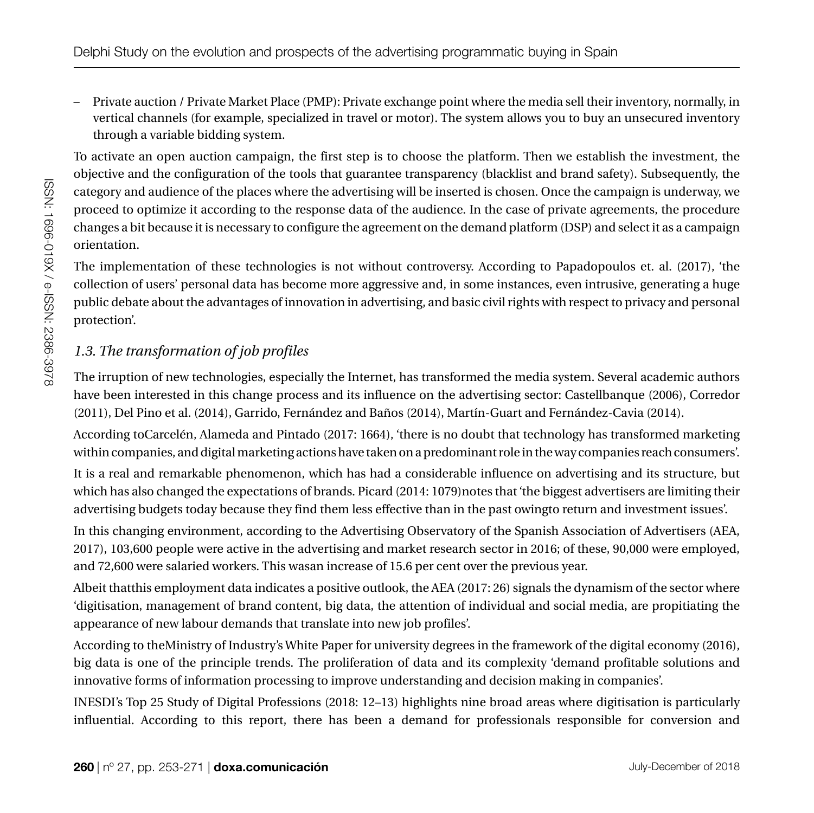– Private auction / Private Market Place (PMP): Private exchange point where the media sell their inventory, normally, in vertical channels (for example, specialized in travel or motor). The system allows you to buy an unsecured inventory through a variable bidding system.

To activate an open auction campaign, the first step is to choose the platform. Then we establish the investment, the objective and the configuration of the tools that guarantee transparency (blacklist and brand safety). Subsequently, the category and audience of the places where the advertising will be inserted is chosen. Once the campaign is underway, we proceed to optimize it according to the response data of the audience. In the case of private agreements, the procedure changes a bit because it is necessary to configure the agreement on the demand platform (DSP) and select it as a campaign orientation.

The implementation of these technologies is not without controversy. According to Papadopoulos et. al. (2017), 'the collection of users' personal data has become more aggressive and, in some instances, even intrusive, generating a huge public debate about the advantages of innovation in advertising, and basic civil rights with respect to privacy and personal protection'.

## *1.3. The transformation of job profiles*

The irruption of new technologies, especially the Internet, has transformed the media system. Several academic authors have been interested in this change process and its influence on the advertising sector: Castellbanque (2006), Corredor (2011), Del Pino et al. (2014), Garrido, Fernández and Baños (2014), Martín-Guart and Fernández-Cavia (2014).

According toCarcelén, Alameda and Pintado (2017: 1664), 'there is no doubt that technology has transformed marketing within companies, and digital marketing actions have taken on a predominant role in the way companies reach consumers'.

It is a real and remarkable phenomenon, which has had a considerable influence on advertising and its structure, but which has also changed the expectations of brands. Picard (2014: 1079)notes that 'the biggest advertisers are limiting their advertising budgets today because they find them less effective than in the past owingto return and investment issues'.

In this changing environment, according to the Advertising Observatory of the Spanish Association of Advertisers (AEA, 2017), 103,600 people were active in the advertising and market research sector in 2016; of these, 90,000 were employed, and 72,600 were salaried workers. This wasan increase of 15.6 per cent over the previous year.

Albeit thatthis employment data indicates a positive outlook, the AEA (2017: 26) signals the dynamism of the sector where 'digitisation, management of brand content, big data, the attention of individual and social media, are propitiating the appearance of new labour demands that translate into new job profiles'.

According to theMinistry of Industry's White Paper for university degrees in the framework of the digital economy (2016), big data is one of the principle trends. The proliferation of data and its complexity 'demand profitable solutions and innovative forms of information processing to improve understanding and decision making in companies'.

INESDI's Top 25 Study of Digital Professions (2018: 12–13) highlights nine broad areas where digitisation is particularly influential. According to this report, there has been a demand for professionals responsible for conversion and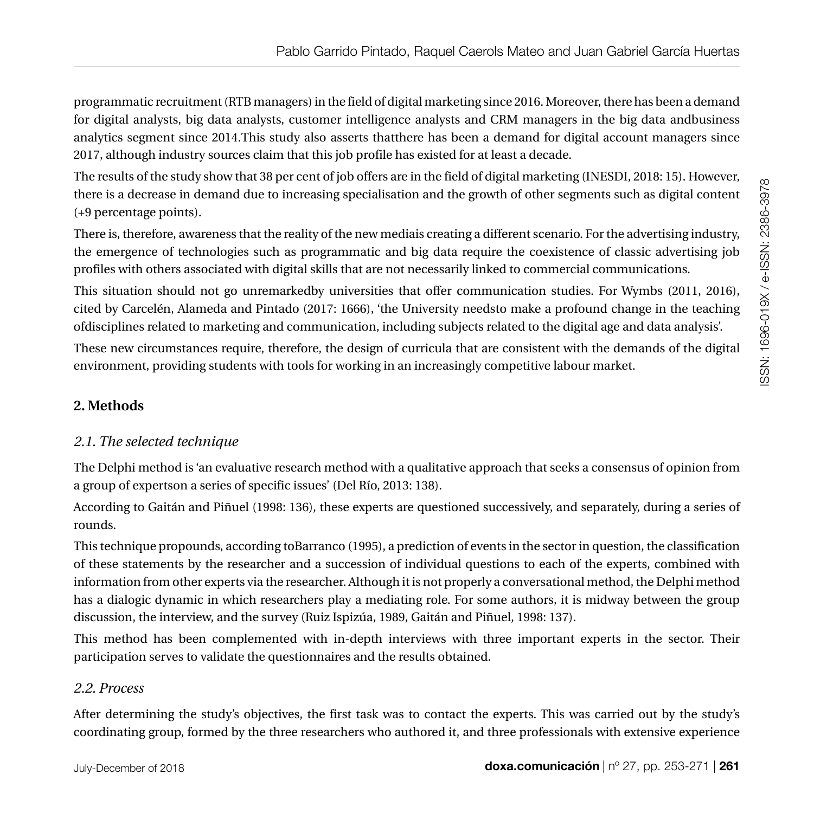programmatic recruitment (RTB managers) in the field of digital marketing since 2016. Moreover, there has been a demand for digital analysts, big data analysts, customer intelligence analysts and CRM managers in the big data andbusiness analytics segment since 2014.This study also asserts thatthere has been a demand for digital account managers since 2017, although industry sources claim that this job profile has existed for at least a decade.

The results of the study show that 38 per cent of job offers are in the field of digital marketing (INESDI, 2018: 15). However, there is a decrease in demand due to increasing specialisation and the growth of other segments such as digital content (+9 percentage points).

There is, therefore, awareness that the reality of the new mediais creating a different scenario. For the advertising industry, the emergence of technologies such as programmatic and big data require the coexistence of classic advertising job profiles with others associated with digital skills that are not necessarily linked to commercial communications.

This situation should not go unremarkedby universities that offer communication studies. For Wymbs (2011, 2016), cited by Carcelén, Alameda and Pintado (2017: 1666), 'the University needsto make a profound change in the teaching ofdisciplines related to marketing and communication, including subjects related to the digital age and data analysis'.

These new circumstances require, therefore, the design of curricula that are consistent with the demands of the digital environment, providing students with tools for working in an increasingly competitive labour market.

## **2. Methods**

## *2.1. The selected technique*

The Delphi method is 'an evaluative research method with a qualitative approach that seeks a consensus of opinion from a group of expertson a series of specific issues' (Del Río, 2013: 138).

According to Gaitán and Piñuel (1998: 136), these experts are questioned successively, and separately, during a series of rounds.

This technique propounds, according toBarranco (1995), a prediction of events in the sector in question, the classification of these statements by the researcher and a succession of individual questions to each of the experts, combined with information from other experts via the researcher. Although it is not properly a conversational method, the Delphi method has a dialogic dynamic in which researchers play a mediating role. For some authors, it is midway between the group discussion, the interview, and the survey (Ruiz Ispizúa, 1989, Gaitán and Piñuel, 1998: 137).

This method has been complemented with in-depth interviews with three important experts in the sector. Their participation serves to validate the questionnaires and the results obtained.

## *2.2. Process*

After determining the study's objectives, the first task was to contact the experts. This was carried out by the study's coordinating group, formed by the three researchers who authored it, and three professionals with extensive experience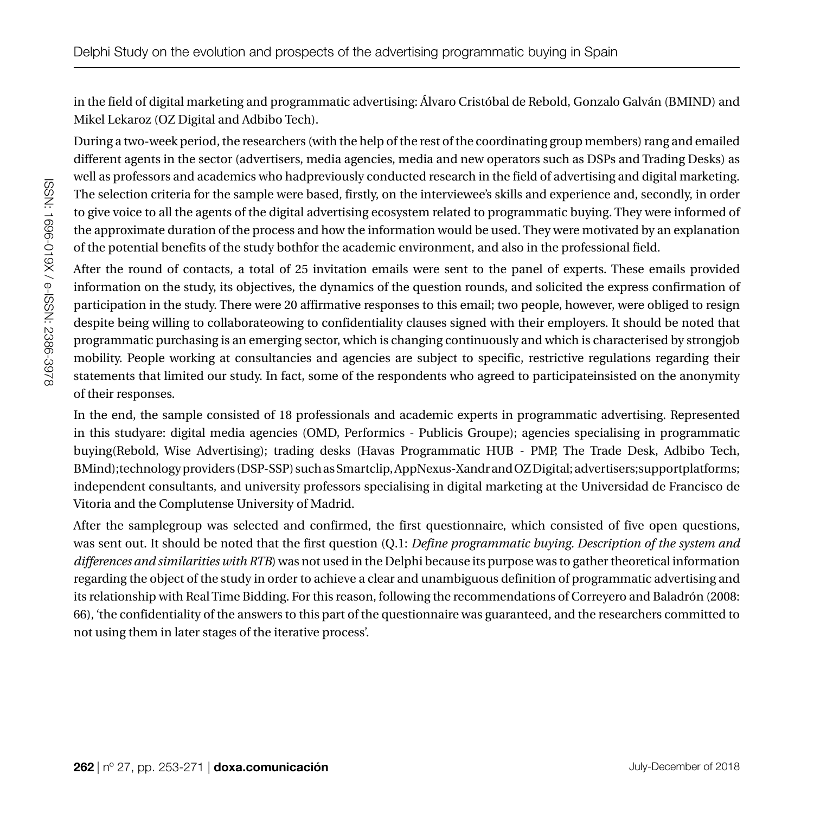in the field of digital marketing and programmatic advertising: Álvaro Cristóbal de Rebold, Gonzalo Galván (BMIND) and Mikel Lekaroz (OZ Digital and Adbibo Tech).

During a two-week period, the researchers (with the help of the rest of the coordinating group members) rang and emailed different agents in the sector (advertisers, media agencies, media and new operators such as DSPs and Trading Desks) as well as professors and academics who hadpreviously conducted research in the field of advertising and digital marketing. The selection criteria for the sample were based, firstly, on the interviewee's skills and experience and, secondly, in order to give voice to all the agents of the digital advertising ecosystem related to programmatic buying. They were informed of the approximate duration of the process and how the information would be used. They were motivated by an explanation of the potential benefits of the study bothfor the academic environment, and also in the professional field.

After the round of contacts, a total of 25 invitation emails were sent to the panel of experts. These emails provided information on the study, its objectives, the dynamics of the question rounds, and solicited the express confirmation of participation in the study. There were 20 affirmative responses to this email; two people, however, were obliged to resign despite being willing to collaborateowing to confidentiality clauses signed with their employers. It should be noted that programmatic purchasing is an emerging sector, which is changing continuously and which is characterised by strongjob mobility. People working at consultancies and agencies are subject to specific, restrictive regulations regarding their statements that limited our study. In fact, some of the respondents who agreed to participateinsisted on the anonymity of their responses.

In the end, the sample consisted of 18 professionals and academic experts in programmatic advertising. Represented in this studyare: digital media agencies (OMD, Performics - Publicis Groupe); agencies specialising in programmatic buying(Rebold, Wise Advertising); trading desks (Havas Programmatic HUB - PMP, The Trade Desk, Adbibo Tech, BMind);technology providers (DSP-SSP) such as Smartclip, AppNexus-Xandr and OZ Digital; advertisers;supportplatforms; independent consultants, and university professors specialising in digital marketing at the Universidad de Francisco de Vitoria and the Complutense University of Madrid.

After the samplegroup was selected and confirmed, the first questionnaire, which consisted of five open questions, was sent out. It should be noted that the first question (Q.1: *Define programmatic buying. Description of the system and differences and similarities with RTB*) was not used in the Delphi because its purpose was to gather theoretical information regarding the object of the study in order to achieve a clear and unambiguous definition of programmatic advertising and its relationship with Real Time Bidding. For this reason, following the recommendations of Correyero and Baladrón (2008: 66), 'the confidentiality of the answers to this part of the questionnaire was guaranteed, and the researchers committed to not using them in later stages of the iterative process'.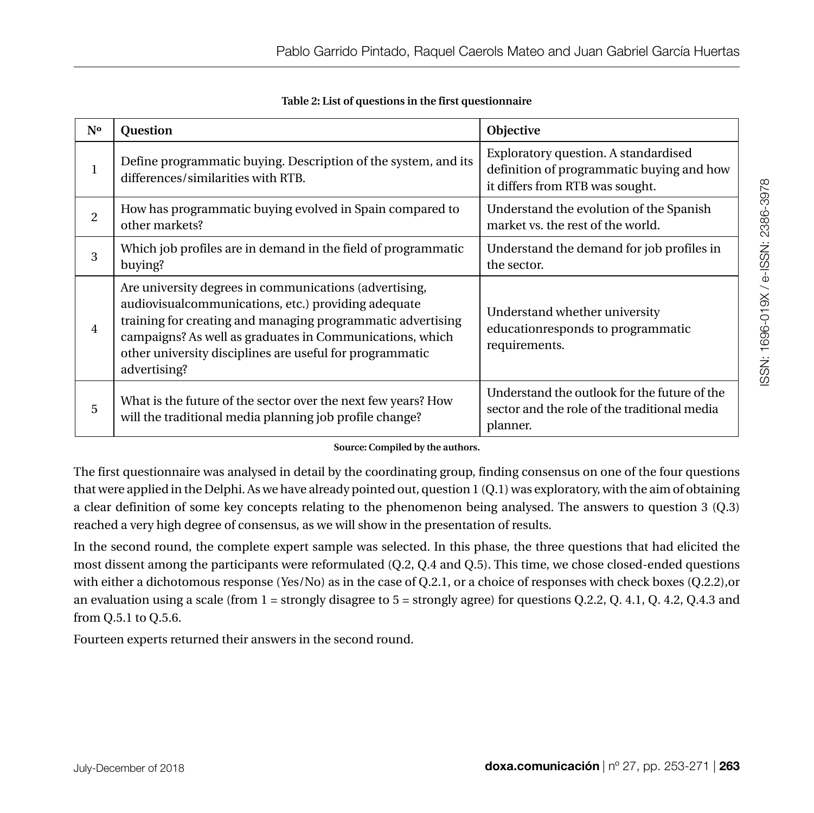| N°             | Question                                                                                                                                                                                                                                                                                                              | Objective                                                                                                            |
|----------------|-----------------------------------------------------------------------------------------------------------------------------------------------------------------------------------------------------------------------------------------------------------------------------------------------------------------------|----------------------------------------------------------------------------------------------------------------------|
| 1              | Define programmatic buying. Description of the system, and its<br>differences/similarities with RTB.                                                                                                                                                                                                                  | Exploratory question. A standardised<br>definition of programmatic buying and how<br>it differs from RTB was sought. |
| $\overline{2}$ | How has programmatic buying evolved in Spain compared to<br>other markets?                                                                                                                                                                                                                                            | Understand the evolution of the Spanish<br>market vs. the rest of the world.                                         |
| 3              | Which job profiles are in demand in the field of programmatic<br>buying?                                                                                                                                                                                                                                              | Understand the demand for job profiles in<br>the sector.                                                             |
| 4              | Are university degrees in communications (advertising,<br>audiovisual communications, etc.) providing adequate<br>training for creating and managing programmatic advertising<br>campaigns? As well as graduates in Communications, which<br>other university disciplines are useful for programmatic<br>advertising? | Understand whether university<br>education responds to programmatic<br>requirements.                                 |
| 5              | What is the future of the sector over the next few years? How<br>will the traditional media planning job profile change?                                                                                                                                                                                              | Understand the outlook for the future of the<br>sector and the role of the traditional media<br>planner.             |

**Table 2: List of questions in the first questionnaire** 

#### **Source: Compiled by the authors.**

The first questionnaire was analysed in detail by the coordinating group, finding consensus on one of the four questions that were applied in the Delphi. As we have already pointed out, question 1 (Q.1) was exploratory, with the aim of obtaining a clear definition of some key concepts relating to the phenomenon being analysed. The answers to question 3 (Q.3) reached a very high degree of consensus, as we will show in the presentation of results.

In the second round, the complete expert sample was selected. In this phase, the three questions that had elicited the most dissent among the participants were reformulated (Q.2, Q.4 and Q.5). This time, we chose closed-ended questions with either a dichotomous response (Yes/No) as in the case of Q.2.1, or a choice of responses with check boxes (Q.2.2),or an evaluation using a scale (from 1 = strongly disagree to 5 = strongly agree) for questions Q.2.2, Q. 4.1, Q. 4.2, Q.4.3 and from Q.5.1 to Q.5.6.

Fourteen experts returned their answers in the second round.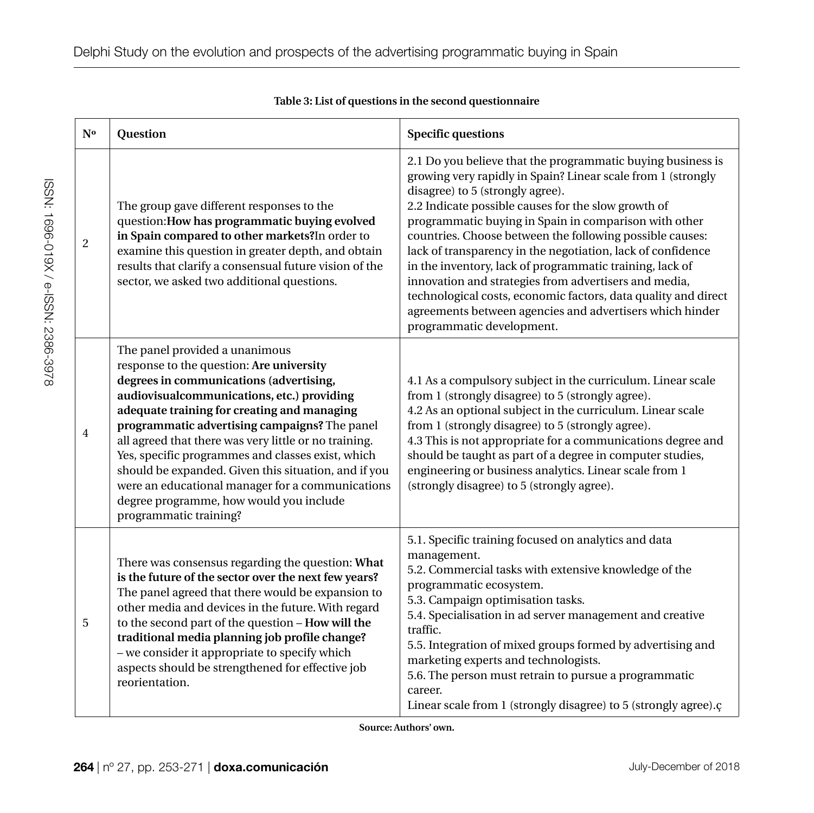| N <sub>o</sub> | Question                                                                                                                                                                                                                                                                                                                                                                                                                                                                                                                                                           | <b>Specific questions</b>                                                                                                                                                                                                                                                                                                                                                                                                                                                                                                                                                                                                                                                                  |  |
|----------------|--------------------------------------------------------------------------------------------------------------------------------------------------------------------------------------------------------------------------------------------------------------------------------------------------------------------------------------------------------------------------------------------------------------------------------------------------------------------------------------------------------------------------------------------------------------------|--------------------------------------------------------------------------------------------------------------------------------------------------------------------------------------------------------------------------------------------------------------------------------------------------------------------------------------------------------------------------------------------------------------------------------------------------------------------------------------------------------------------------------------------------------------------------------------------------------------------------------------------------------------------------------------------|--|
| $\overline{2}$ | The group gave different responses to the<br>question: How has programmatic buying evolved<br>in Spain compared to other markets? In order to<br>examine this question in greater depth, and obtain<br>results that clarify a consensual future vision of the<br>sector, we asked two additional questions.                                                                                                                                                                                                                                                        | 2.1 Do you believe that the programmatic buying business is<br>growing very rapidly in Spain? Linear scale from 1 (strongly<br>disagree) to 5 (strongly agree).<br>2.2 Indicate possible causes for the slow growth of<br>programmatic buying in Spain in comparison with other<br>countries. Choose between the following possible causes:<br>lack of transparency in the negotiation, lack of confidence<br>in the inventory, lack of programmatic training, lack of<br>innovation and strategies from advertisers and media,<br>technological costs, economic factors, data quality and direct<br>agreements between agencies and advertisers which hinder<br>programmatic development. |  |
| $\overline{4}$ | The panel provided a unanimous<br>response to the question: Are university<br>degrees in communications (advertising,<br>audiovisualcommunications, etc.) providing<br>adequate training for creating and managing<br>programmatic advertising campaigns? The panel<br>all agreed that there was very little or no training.<br>Yes, specific programmes and classes exist, which<br>should be expanded. Given this situation, and if you<br>were an educational manager for a communications<br>degree programme, how would you include<br>programmatic training? | 4.1 As a compulsory subject in the curriculum. Linear scale<br>from 1 (strongly disagree) to 5 (strongly agree).<br>4.2 As an optional subject in the curriculum. Linear scale<br>from 1 (strongly disagree) to 5 (strongly agree).<br>4.3 This is not appropriate for a communications degree and<br>should be taught as part of a degree in computer studies,<br>engineering or business analytics. Linear scale from 1<br>(strongly disagree) to 5 (strongly agree).                                                                                                                                                                                                                    |  |
| 5              | There was consensus regarding the question: What<br>is the future of the sector over the next few years?<br>The panel agreed that there would be expansion to<br>other media and devices in the future. With regard<br>to the second part of the question - How will the<br>traditional media planning job profile change?<br>- we consider it appropriate to specify which<br>aspects should be strengthened for effective job<br>reorientation.                                                                                                                  | 5.1. Specific training focused on analytics and data<br>management.<br>5.2. Commercial tasks with extensive knowledge of the<br>programmatic ecosystem.<br>5.3. Campaign optimisation tasks.<br>5.4. Specialisation in ad server management and creative<br>traffic.<br>5.5. Integration of mixed groups formed by advertising and<br>marketing experts and technologists.<br>5.6. The person must retrain to pursue a programmatic<br>career.<br>Linear scale from 1 (strongly disagree) to 5 (strongly agree).c                                                                                                                                                                          |  |

**Table 3: List of questions in the second questionnaire**

**Source: Authors' own.**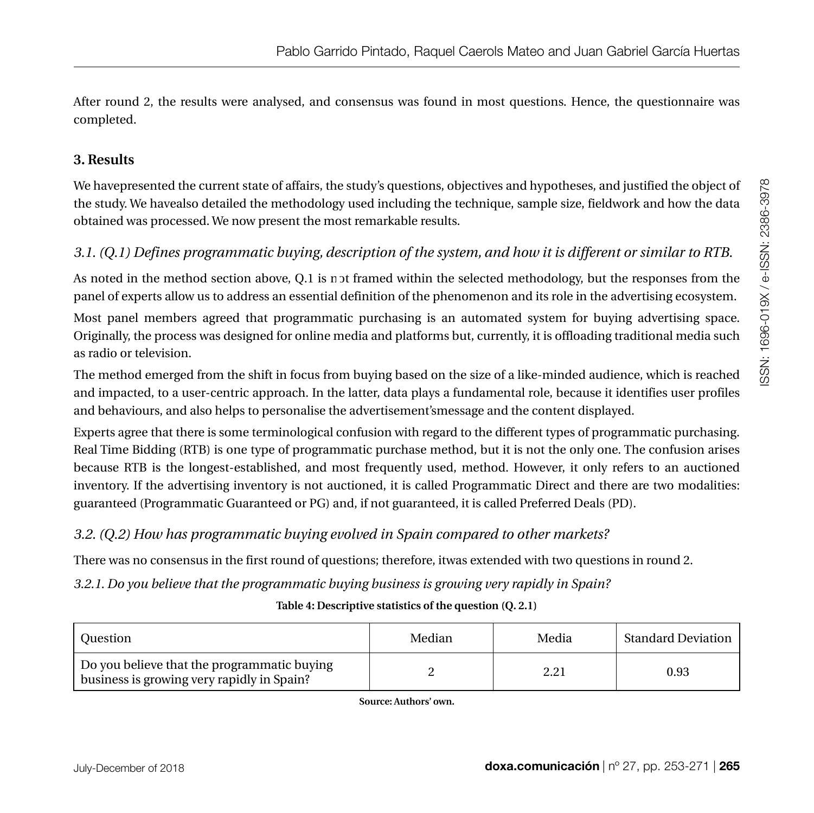After round 2, the results were analysed, and consensus was found in most questions. Hence, the questionnaire was completed.

## **3. Results**

We havepresented the current state of affairs, the study's questions, objectives and hypotheses, and justified the object of the study. We havealso detailed the methodology used including the technique, sample size, fieldwork and how the data obtained was processed. We now present the most remarkable results.

## *3.1. (Q.1) Defines programmatic buying, description of the system, and how it is different or similar to RTB.*

As noted in the method section above,  $Q.1$  is not framed within the selected methodology, but the responses from the panel of experts allow us to address an essential definition of the phenomenon and its role in the advertising ecosystem.

Most panel members agreed that programmatic purchasing is an automated system for buying advertising space. Originally, the process was designed for online media and platforms but, currently, it is offloading traditional media such as radio or television.

The method emerged from the shift in focus from buying based on the size of a like-minded audience, which is reached and impacted, to a user-centric approach. In the latter, data plays a fundamental role, because it identifies user profiles and behaviours, and also helps to personalise the advertisement'smessage and the content displayed.

Experts agree that there is some terminological confusion with regard to the different types of programmatic purchasing. Real Time Bidding (RTB) is one type of programmatic purchase method, but it is not the only one. The confusion arises because RTB is the longest-established, and most frequently used, method. However, it only refers to an auctioned inventory. If the advertising inventory is not auctioned, it is called Programmatic Direct and there are two modalities: guaranteed (Programmatic Guaranteed or PG) and, if not guaranteed, it is called Preferred Deals (PD).

## *3.2. (Q.2) How has programmatic buying evolved in Spain compared to other markets?*

There was no consensus in the first round of questions; therefore, itwas extended with two questions in round 2.

*3.2.1. Do you believe that the programmatic buying business is growing very rapidly in Spain?*

**Table 4: Descriptive statistics of the question (Q. 2.1)**

| ' Ouestion                                                                                | Median | Media | Standard Deviation |
|-------------------------------------------------------------------------------------------|--------|-------|--------------------|
| Do you believe that the programmatic buying<br>business is growing very rapidly in Spain? |        |       | 0.93               |

**Source: Authors' own.**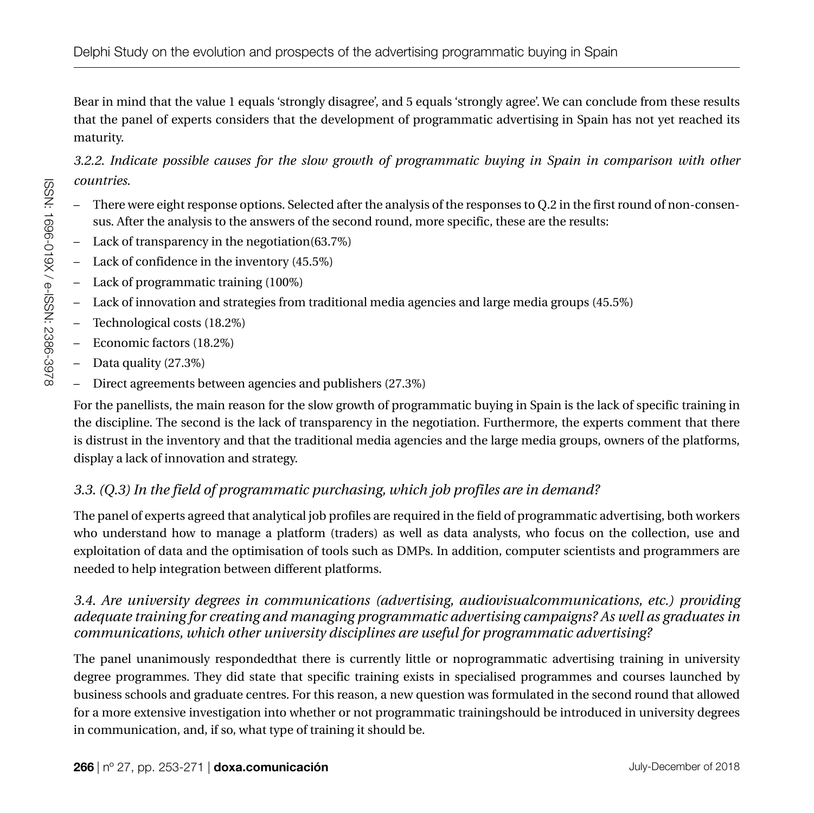Bear in mind that the value 1 equals 'strongly disagree', and 5 equals 'strongly agree'. We can conclude from these results that the panel of experts considers that the development of programmatic advertising in Spain has not yet reached its maturity.

*3.2.2. Indicate possible causes for the slow growth of programmatic buying in Spain in comparison with other countries.* 

- There were eight response options. Selected after the analysis of the responses to Q.2 in the first round of non-consensus. After the analysis to the answers of the second round, more specific, these are the results:
- Lack of transparency in the negotiation(63.7%)
- Lack of confidence in the inventory  $(45.5\%)$
- Lack of programmatic training (100%)
- ●Lack of innovation and strategies from traditional media agencies and large media groups (45.5%)
- $-$  Technological costs (18.2%)
- Economic factors (18.2%)
- $-$  Data quality (27.3%)
- Direct agreements between agencies and publishers (27.3%)

For the panellists, the main reason for the slow growth of programmatic buying in Spain is the lack of specific training in the discipline. The second is the lack of transparency in the negotiation. Furthermore, the experts comment that there is distrust in the inventory and that the traditional media agencies and the large media groups, owners of the platforms, display a lack of innovation and strategy.

## *3.3. (Q.3) In the field of programmatic purchasing, which job profiles are in demand?*

The panel of experts agreed that analytical job profiles are required in the field of programmatic advertising, both workers who understand how to manage a platform (traders) as well as data analysts, who focus on the collection, use and exploitation of data and the optimisation of tools such as DMPs. In addition, computer scientists and programmers are needed to help integration between different platforms.

## *3.4. Are university degrees in communications (advertising, audiovisualcommunications, etc.) providing adequate training for creating and managing programmatic advertising campaigns? As well as graduates in communications, which other university disciplines are useful for programmatic advertising?*

The panel unanimously respondedthat there is currently little or noprogrammatic advertising training in university degree programmes. They did state that specific training exists in specialised programmes and courses launched by business schools and graduate centres. For this reason, a new question was formulated in the second round that allowed for a more extensive investigation into whether or not programmatic trainingshould be introduced in university degrees in communication, and, if so, what type of training it should be.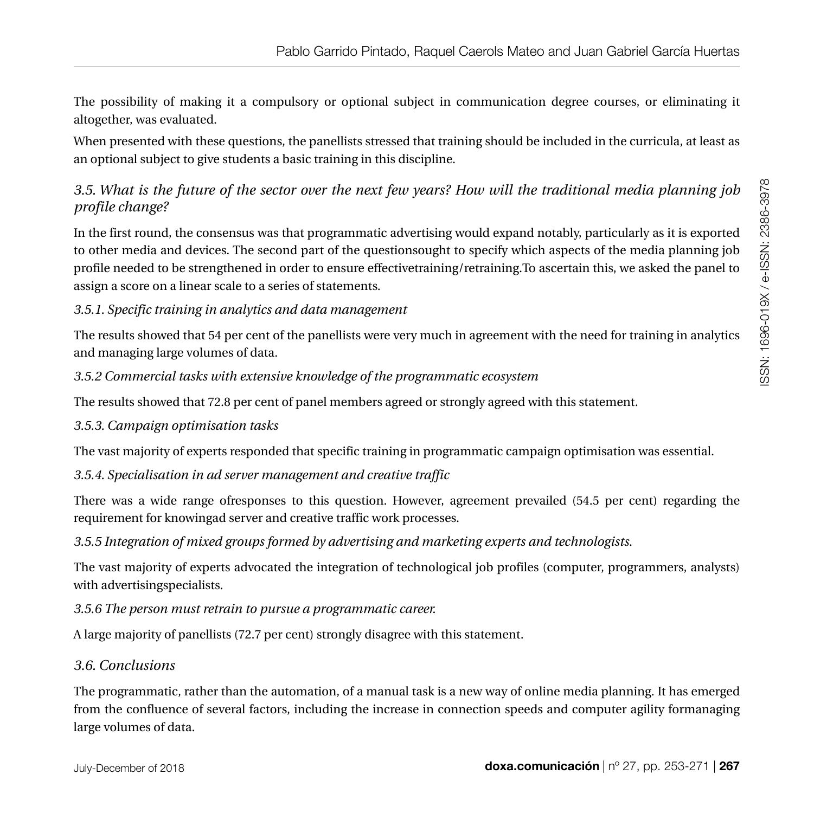The possibility of making it a compulsory or optional subject in communication degree courses, or eliminating it altogether, was evaluated.

When presented with these questions, the panellists stressed that training should be included in the curricula, at least as an optional subject to give students a basic training in this discipline.

## *3.5. What is the future of the sector over the next few years? How will the traditional media planning job profile change?*

In the first round, the consensus was that programmatic advertising would expand notably, particularly as it is exported to other media and devices. The second part of the questionsought to specify which aspects of the media planning job profile needed to be strengthened in order to ensure effectivetraining/retraining.To ascertain this, we asked the panel to assign a score on a linear scale to a series of statements.

## *3.5.1. Specific training in analytics and data management*

The results showed that 54 per cent of the panellists were very much in agreement with the need for training in analytics and managing large volumes of data.

## *3.5.2 Commercial tasks with extensive knowledge of the programmatic ecosystem*

The results showed that 72.8 per cent of panel members agreed or strongly agreed with this statement.

## *3.5.3. Campaign optimisation tasks*

The vast majority of experts responded that specific training in programmatic campaign optimisation was essential.

## *3.5.4. Specialisation in ad server management and creative traffic*

There was a wide range ofresponses to this question. However, agreement prevailed (54.5 per cent) regarding the requirement for knowingad server and creative traffic work processes.

*3.5.5 Integration of mixed groups formed by advertising and marketing experts and technologists.*

The vast majority of experts advocated the integration of technological job profiles (computer, programmers, analysts) with advertisingspecialists.

*3.5.6 The person must retrain to pursue a programmatic career.*

A large majority of panellists (72.7 per cent) strongly disagree with this statement.

## *3.6. Conclusions*

The programmatic, rather than the automation, of a manual task is a new way of online media planning. It has emerged from the confluence of several factors, including the increase in connection speeds and computer agility formanaging large volumes of data.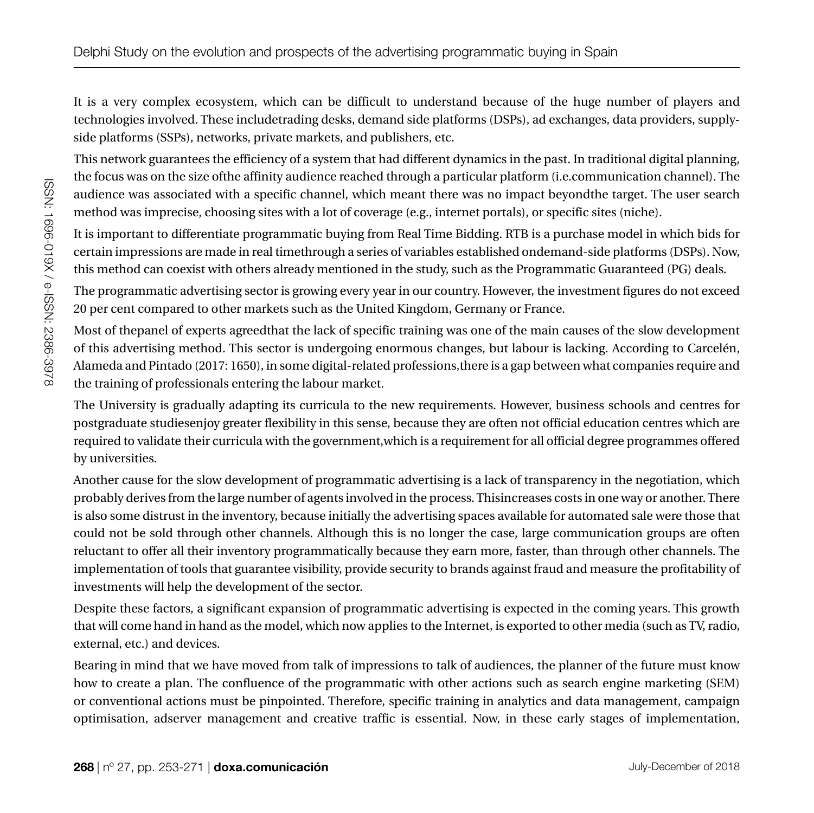It is a very complex ecosystem, which can be difficult to understand because of the huge number of players and technologies involved. These includetrading desks, demand side platforms (DSPs), ad exchanges, data providers, supplyside platforms (SSPs), networks, private markets, and publishers, etc.

This network guarantees the efficiency of a system that had different dynamics in the past. In traditional digital planning, the focus was on the size ofthe affinity audience reached through a particular platform (i.e.communication channel). The audience was associated with a specific channel, which meant there was no impact beyondthe target. The user search method was imprecise, choosing sites with a lot of coverage (e.g., internet portals), or specific sites (niche).

It is important to differentiate programmatic buying from Real Time Bidding. RTB is a purchase model in which bids for certain impressions are made in real timethrough a series of variables established ondemand-side platforms (DSPs). Now, this method can coexist with others already mentioned in the study, such as the Programmatic Guaranteed (PG) deals.

The programmatic advertising sector is growing every year in our country. However, the investment figures do not exceed 20 per cent compared to other markets such as the United Kingdom, Germany or France.

Most of thepanel of experts agreedthat the lack of specific training was one of the main causes of the slow development of this advertising method. This sector is undergoing enormous changes, but labour is lacking. According to Carcelén, Alameda and Pintado (2017: 1650), in some digital-related professions,there is a gap between what companies require and the training of professionals entering the labour market.

The University is gradually adapting its curricula to the new requirements. However, business schools and centres for postgraduate studiesenjoy greater flexibility in this sense, because they are often not official education centres which are required to validate their curricula with the government,which is a requirement for all official degree programmes offered by universities.

Another cause for the slow development of programmatic advertising is a lack of transparency in the negotiation, which probably derives from the large number of agents involved in the process. Thisincreases costs in one way or another. There is also some distrust in the inventory, because initially the advertising spaces available for automated sale were those that could not be sold through other channels. Although this is no longer the case, large communication groups are often reluctant to offer all their inventory programmatically because they earn more, faster, than through other channels. The implementation of tools that guarantee visibility, provide security to brands against fraud and measure the profitability of investments will help the development of the sector.

Despite these factors, a significant expansion of programmatic advertising is expected in the coming years. This growth that will come hand in hand as the model, which now applies to the Internet, is exported to other media (such as TV, radio, external, etc.) and devices.

Bearing in mind that we have moved from talk of impressions to talk of audiences, the planner of the future must know how to create a plan. The confluence of the programmatic with other actions such as search engine marketing (SEM) or conventional actions must be pinpointed. Therefore, specific training in analytics and data management, campaign optimisation, adserver management and creative traffic is essential. Now, in these early stages of implementation,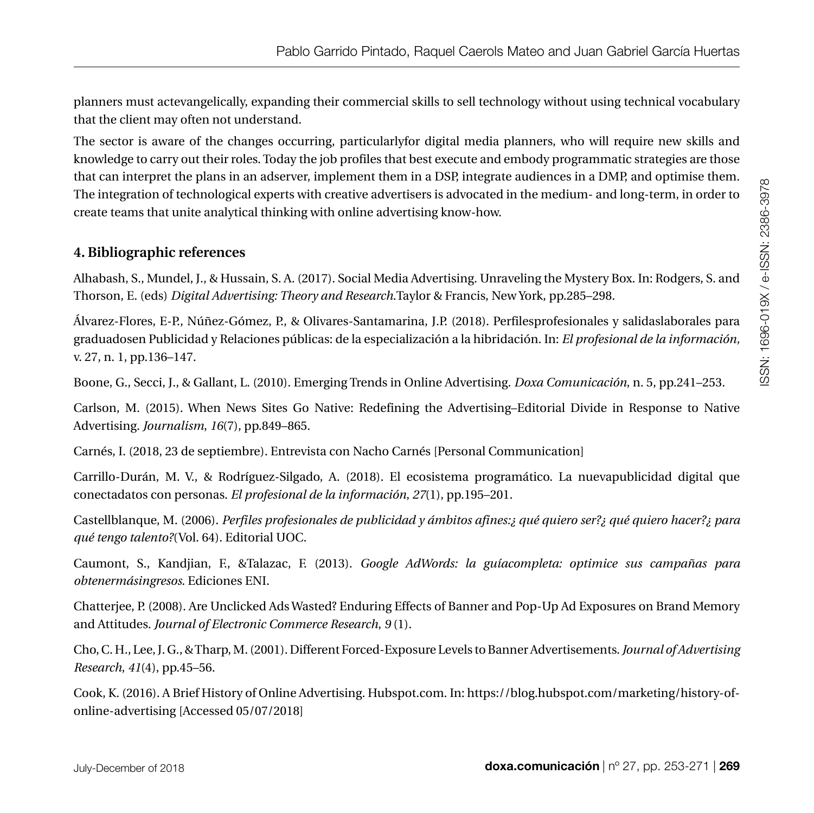planners must actevangelically, expanding their commercial skills to sell technology without using technical vocabulary that the client may often not understand.

The sector is aware of the changes occurring, particularlyfor digital media planners, who will require new skills and knowledge to carry out their roles. Today the job profiles that best execute and embody programmatic strategies are those that can interpret the plans in an adserver, implement them in a DSP, integrate audiences in a DMP, and optimise them. The integration of technological experts with creative advertisers is advocated in the medium- and long-term, in order to create teams that unite analytical thinking with online advertising know-how.

### **4. Bibliographic references**

Alhabash, S., Mundel, J., & Hussain, S. A. (2017). Social Media Advertising. Unraveling the Mystery Box. In: Rodgers, S. and Thorson, E. (eds) *Digital Advertising: Theory and Research*.Taylor & Francis, New York, pp.285–298.

Álvarez-Flores, E-P., Núñez-Gómez, P., & Olivares-Santamarina, J.P. (2018). Perfilesprofesionales y salidaslaborales para graduadosen Publicidad y Relaciones públicas: de la especialización a la hibridación. In: *El profesional de la información,* v. 27, n. 1, pp.136–147.

Boone, G., Secci, J., & Gallant, L. (2010). Emerging Trends in Online Advertising. *Doxa Comunicación*, n. 5, pp.241–253.

Carlson, M. (2015). When News Sites Go Native: Redefining the Advertising–Editorial Divide in Response to Native Advertising. *Journalism*, *16*(7), pp.849–865.

Carnés, I. (2018, 23 de septiembre). Entrevista con Nacho Carnés [Personal Communication]

Carrillo-Durán, M. V., & Rodríguez-Silgado, A. (2018). El ecosistema programático. La nuevapublicidad digital que conectadatos con personas. *El profesional de la información*, *27*(1), pp.195–201.

Castellblanque, M. (2006). *Perfiles profesionales de publicidad y ámbitos afines:¿ qué quiero ser?¿ qué quiero hacer?¿ para qué tengo talento?*(Vol. 64). Editorial UOC.

Caumont, S., Kandjian, F., &Talazac, F. (2013). *Google AdWords: la guíacompleta: optimice sus campañas para obtenermásingresos*. Ediciones ENI.

Chatterjee, P. (2008). Are Unclicked Ads Wasted? Enduring Effects of Banner and Pop-Up Ad Exposures on Brand Memory and Attitudes. *Journal of Electronic Commerce Research*, *9* (1).

Cho, C. H., Lee, J. G., & Tharp, M. (2001). Different Forced-Exposure Levels to Banner Advertisements. *Journal of Advertising Research*, *41*(4), pp.45–56.

Cook, K. (2016). A Brief History of Online Advertising. Hubspot.com. In: [https://blog.hubspot.com/marketing/history-of](https://blog.hubspot.com/marketing/history-of-online-advertising)[online-advertising](https://blog.hubspot.com/marketing/history-of-online-advertising) [Accessed 05/07/2018]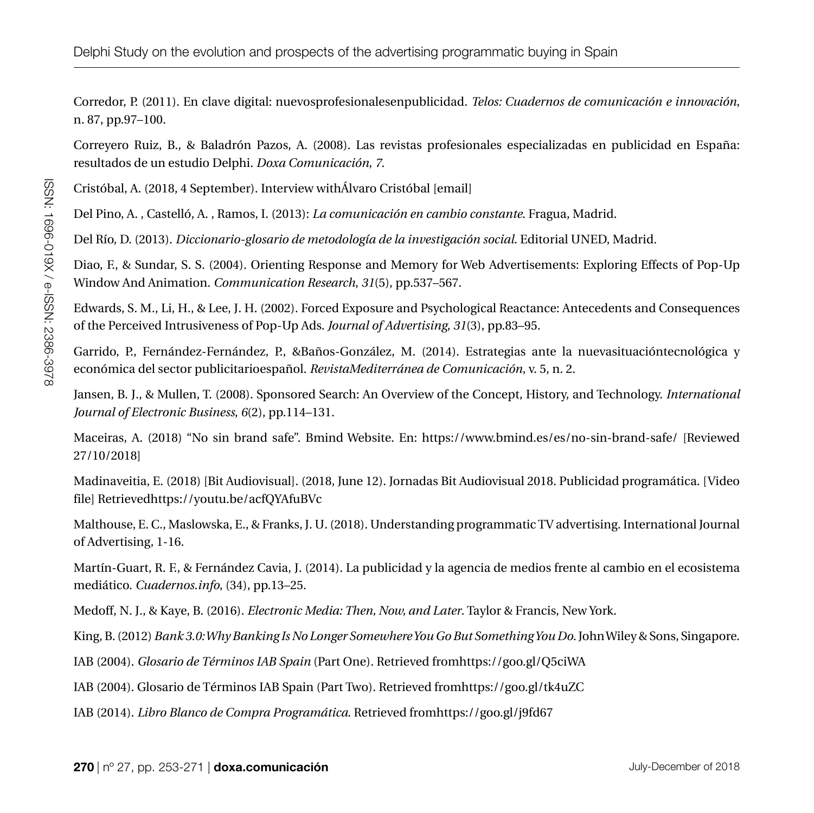Corredor, P. (2011). En clave digital: nuevosprofesionalesenpublicidad. *Telos: Cuadernos de comunicación e innovación*, n. 87, pp.97–100.

Correyero Ruiz, B., & Baladrón Pazos, A. (2008). Las revistas profesionales especializadas en publicidad en España: resultados de un estudio Delphi. *Doxa Comunicación*, *7*.

Cristóbal, A. (2018, 4 September). Interview withÁlvaro Cristóbal [email]

Del Pino, A. , Castelló, A. , Ramos, I. (2013): *La comunicación en cambio constante*. Fragua, Madrid.

Del Río, D. (2013). *Diccionario-glosario de metodología de la investigación social*. Editorial UNED, Madrid.

Diao, F., & Sundar, S. S. (2004). Orienting Response and Memory for Web Advertisements: Exploring Effects of Pop-Up Window And Animation. *Communication Research*, *31*(5), pp.537–567.

Edwards, S. M., Li, H., & Lee, J. H. (2002). Forced Exposure and Psychological Reactance: Antecedents and Consequences of the Perceived Intrusiveness of Pop-Up Ads. *Journal of Advertising*, *31*(3), pp.83–95.

Garrido, P., Fernández-Fernández, P., &Baños-González, M. (2014). Estrategias ante la nuevasituacióntecnológica y económica del sector publicitarioespañol. *RevistaMediterránea de Comunicación*, v. 5, n. 2.

Jansen, B. J., & Mullen, T. (2008). Sponsored Search: An Overview of the Concept, History, and Technology. *International Journal of Electronic Business*, *6*(2), pp.114–131.

Maceiras, A. (2018) "No sin brand safe". Bmind Website. En: <https://www.bmind.es/es/no-sin-brand-safe/> [Reviewed 27/10/2018]

Madinaveitia, E. (2018) [Bit Audiovisual]. (2018, June 12). Jornadas Bit Audiovisual 2018. Publicidad programática. [Video file] Retrieve[dhttps://youtu.be/acfQYAfuBVc](https://youtu.be/acfQYAfuBVc)

Malthouse, E. C., Maslowska, E., & Franks, J. U. (2018). Understanding programmatic TV advertising. International Journal of Advertising, 1-16.

Martín-Guart, R. F., & Fernández Cavia, J. (2014). La publicidad y la agencia de medios frente al cambio en el ecosistema mediático. *Cuadernos.info*, (34), pp.13–25.

Medoff, N. J., & Kaye, B. (2016). *Electronic Media: Then, Now, and Later*. Taylor & Francis, New York.

King, B. (2012) *Bank 3.0: Why Banking Is No Longer Somewhere You Go But Something You Do*. John Wiley & Sons, Singapore.

IAB (2004). *Glosario de Términos IAB Spain* (Part One). Retrieved fro[mhttps://goo.gl/Q5ciWA](https://goo.gl/Q5ciWA)

IAB (2004). Glosario de Términos IAB Spain (Part Two). Retrieved from<https://goo.gl/tk4uZC>

IAB (2014). *Libro Blanco de Compra Programática*. Retrieved fro[mhttps://goo.gl/j9fd67](https://goo.gl/j9fd67)